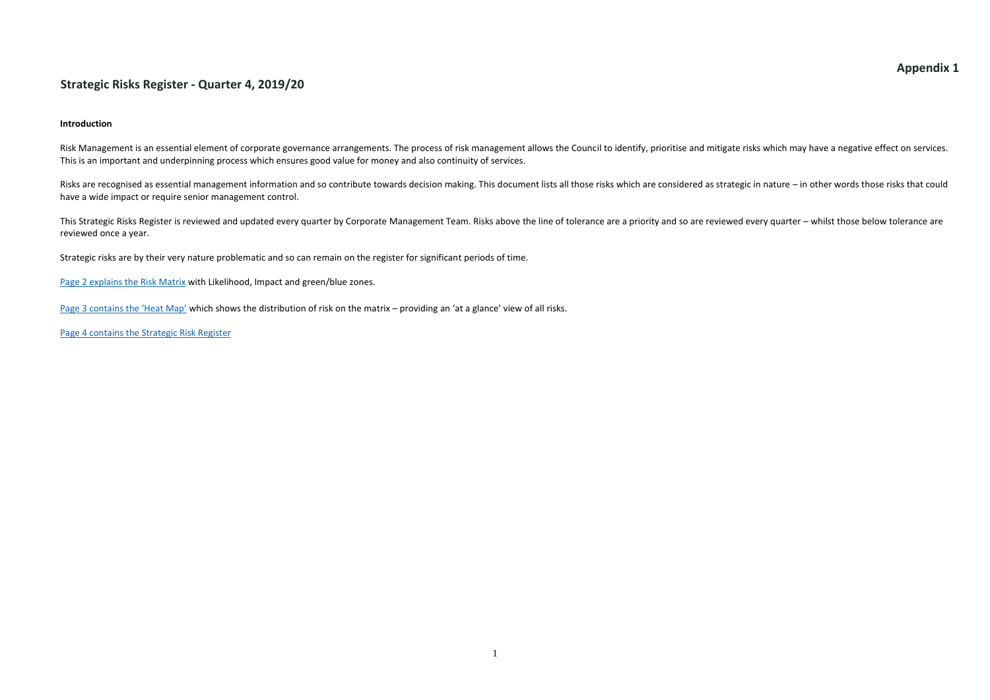### **Appendix 1**

#### **Strategic Risks Register - Quarter 4, 2019/20**

#### **Introduction**

Risk Management is an essential element of corporate governance arrangements. The process of risk management allows the Council to identify, prioritise and mitigate risks which may have a negative effect on services. This is an important and underpinning process which ensures good value for money and also continuity of services.

This Strategic Risks Register is reviewed and updated every quarter by Corporate Management Team. Risks above the line of tolerance are a priority and so are reviewed every quarter – whilst those below tolerance are are reviewed once a year.

Risks are recognised as essential management information and so contribute towards decision making. This document lists all those risks which are considered as strategic in nature – in other words those risks that could have a wide impact or require senior management control.

Strategic risks are by their very nature problematic and so can remain on the register for significant periods of time.

[Page 2 explains](#page-0-0) the Risk Matrix with Likelihood, Impact and green/blue zones.

[Page 3 contains the 'Heat Map'](#page-1-0) which shows the distribution of risk on the matrix – providing an 'at a glance' view of all risks.

<span id="page-0-0"></span>[Page 4 contains the Strategic Risk Register](#page-2-0)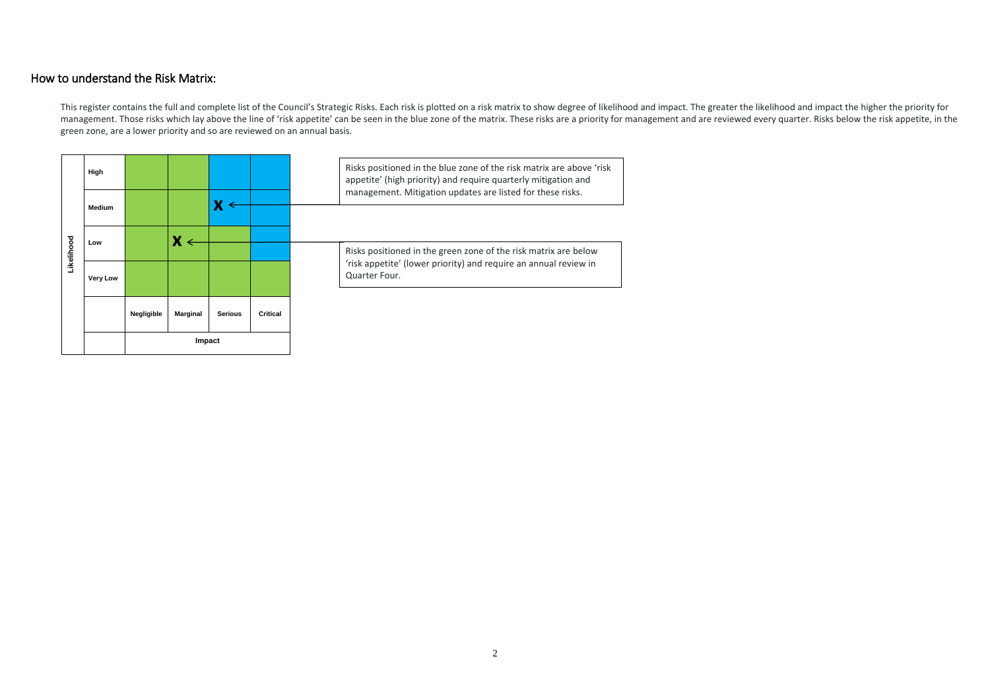### How to understand the Risk Matrix:

This register contains the full and complete list of the Council's Strategic Risks. Each risk is plotted on a risk matrix to show degree of likelihood and impact. The greater the likelihood and impact the higher the priori management. Those risks which lay above the line of 'risk appetite' can be seen in the blue zone of the matrix. These risks are a priority for management and are reviewed every quarter. Risks below the risk appetite, in th green zone, are a lower priority and so are reviewed on an annual basis.

<span id="page-1-0"></span>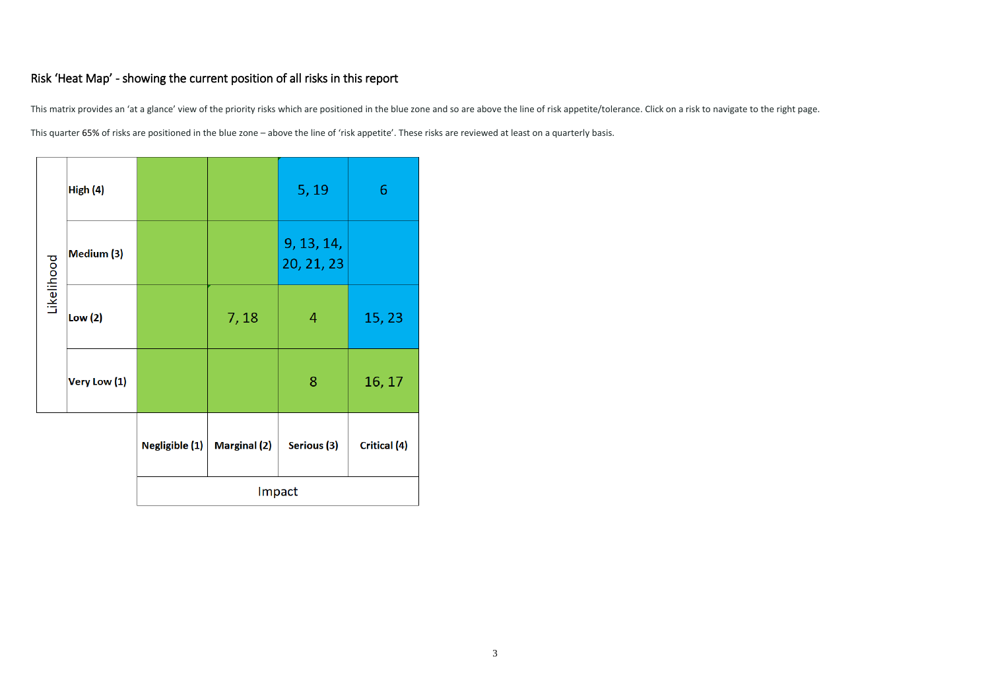## Risk 'Heat Map' - showing the current position of all risks in this report

This matrix provides an 'at a glance' view of the priority risks which are positioned in the blue zone and so are above the line of risk appetite/tolerance. Click on a risk to navigate to the right page. This quarter 65% of risks are positioned in the blue zone – above the line of 'risk appetite'. These risks are reviewed at least on a quarterly basis.

<span id="page-2-0"></span>

|            | High (4)     |                |                     | 5, 19                    | 6                   |
|------------|--------------|----------------|---------------------|--------------------------|---------------------|
| Likelihood | Medium (3)   |                |                     | 9, 13, 14,<br>20, 21, 23 |                     |
|            | Low(2)       |                | 7,18                | 4                        | 15, 23              |
|            | Very Low (1) |                |                     | 8                        | 16, 17              |
|            |              | Negligible (1) | <b>Marginal (2)</b> | Serious (3)              | <b>Critical (4)</b> |
|            |              |                |                     | Impact                   |                     |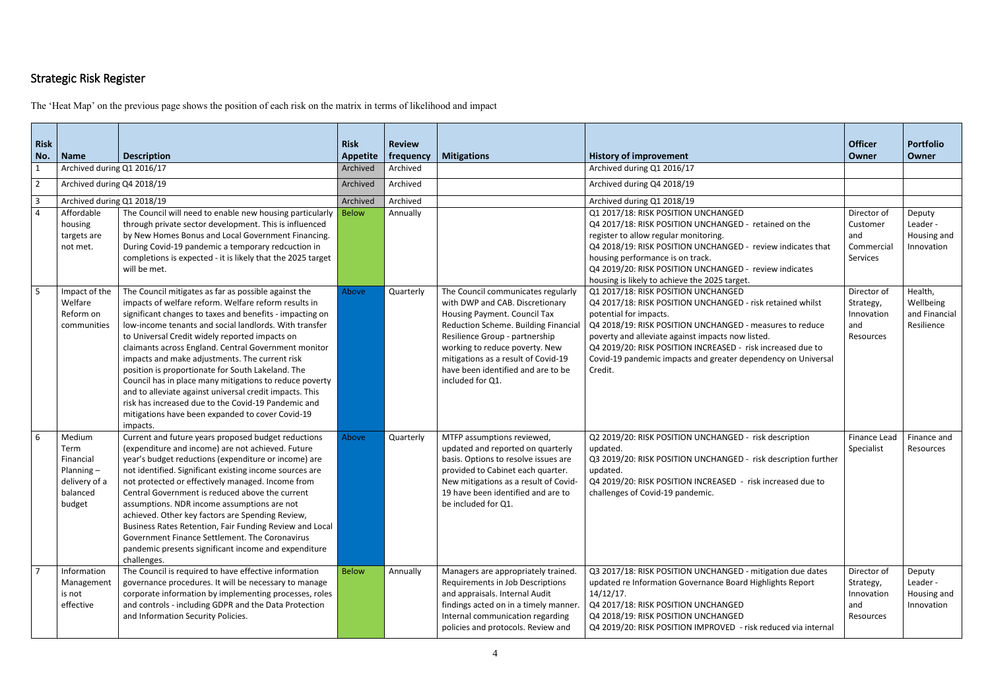# Strategic Risk Register

The 'Heat Map' on the previous page shows the position of each risk on the matrix in terms of likelihood and impact

| <b>Risk</b><br>No.               | <b>Name</b>                                                                     | <b>Description</b>                                                                                                                                                                                                                                                                                                                                                                                                                                                                                                                                                                                                                                                                               | <b>Risk</b><br><b>Appetite</b> | <b>Review</b><br>frequency | <b>Mitigations</b>                                                                                                                                                                                                                                                                                                 | <b>History of improvement</b>                                                                                                                                                                                                                                                                                                                                                           | <b>Officer</b><br>Owner                                    | <b>Portfolio</b><br>Owner                           |
|----------------------------------|---------------------------------------------------------------------------------|--------------------------------------------------------------------------------------------------------------------------------------------------------------------------------------------------------------------------------------------------------------------------------------------------------------------------------------------------------------------------------------------------------------------------------------------------------------------------------------------------------------------------------------------------------------------------------------------------------------------------------------------------------------------------------------------------|--------------------------------|----------------------------|--------------------------------------------------------------------------------------------------------------------------------------------------------------------------------------------------------------------------------------------------------------------------------------------------------------------|-----------------------------------------------------------------------------------------------------------------------------------------------------------------------------------------------------------------------------------------------------------------------------------------------------------------------------------------------------------------------------------------|------------------------------------------------------------|-----------------------------------------------------|
| $\mathbf{1}$<br>$\overline{2}$   | Archived during Q1 2016/17<br>Archived during Q4 2018/19                        |                                                                                                                                                                                                                                                                                                                                                                                                                                                                                                                                                                                                                                                                                                  | Archived<br>Archived           | Archived<br>Archived       |                                                                                                                                                                                                                                                                                                                    | Archived during Q1 2016/17<br>Archived during Q4 2018/19                                                                                                                                                                                                                                                                                                                                |                                                            |                                                     |
|                                  |                                                                                 |                                                                                                                                                                                                                                                                                                                                                                                                                                                                                                                                                                                                                                                                                                  |                                |                            |                                                                                                                                                                                                                                                                                                                    |                                                                                                                                                                                                                                                                                                                                                                                         |                                                            |                                                     |
| $\overline{3}$<br>$\overline{4}$ | Archived during Q1 2018/19<br>Affordable<br>housing<br>targets are<br>not met.  | The Council will need to enable new housing particularly<br>through private sector development. This is influenced<br>by New Homes Bonus and Local Government Financing.<br>During Covid-19 pandemic a temporary redcuction in<br>completions is expected - it is likely that the 2025 target<br>will be met.                                                                                                                                                                                                                                                                                                                                                                                    | Archived<br><b>Below</b>       | Archived<br>Annually       |                                                                                                                                                                                                                                                                                                                    | Archived during Q1 2018/19<br>Q1 2017/18: RISK POSITION UNCHANGED<br>Q4 2017/18: RISK POSITION UNCHANGED - retained on the<br>register to allow regular monitoring.<br>Q4 2018/19: RISK POSITION UNCHANGED - review indicates that<br>housing performance is on track.<br>Q4 2019/20: RISK POSITION UNCHANGED - review indicates<br>housing is likely to achieve the 2025 target.       | Director of<br>Customer<br>and<br>Commercial<br>Services   | Deputy<br>Leader -<br>Housing and<br>Innovation     |
| 5                                | Impact of the<br>Welfare<br>Reform on<br>communities                            | The Council mitigates as far as possible against the<br>impacts of welfare reform. Welfare reform results in<br>significant changes to taxes and benefits - impacting on<br>low-income tenants and social landlords. With transfer<br>to Universal Credit widely reported impacts on<br>claimants across England. Central Government monitor<br>impacts and make adjustments. The current risk<br>position is proportionate for South Lakeland. The<br>Council has in place many mitigations to reduce poverty<br>and to alleviate against universal credit impacts. This<br>risk has increased due to the Covid-19 Pandemic and<br>mitigations have been expanded to cover Covid-19<br>impacts. | Above                          | Quarterly                  | The Council communicates regularly<br>with DWP and CAB. Discretionary<br>Housing Payment. Council Tax<br>Reduction Scheme. Building Financial<br>Resilience Group - partnership<br>working to reduce poverty. New<br>mitigations as a result of Covid-19<br>have been identified and are to be<br>included for Q1. | Q1 2017/18: RISK POSITION UNCHANGED<br>Q4 2017/18: RISK POSITION UNCHANGED - risk retained whilst<br>potential for impacts.<br>Q4 2018/19: RISK POSITION UNCHANGED - measures to reduce<br>poverty and alleviate against impacts now listed.<br>Q4 2019/20: RISK POSITION INCREASED - risk increased due to<br>Covid-19 pandemic impacts and greater dependency on Universal<br>Credit. | Director of<br>Strategy,<br>Innovation<br>and<br>Resources | Health,<br>Wellbeing<br>and Financial<br>Resilience |
| 6                                | Medium<br>Term<br>Financial<br>Planning-<br>delivery of a<br>balanced<br>budget | Current and future years proposed budget reductions<br>(expenditure and income) are not achieved. Future<br>year's budget reductions (expenditure or income) are<br>not identified. Significant existing income sources are<br>not protected or effectively managed. Income from<br>Central Government is reduced above the current<br>assumptions. NDR income assumptions are not<br>achieved. Other key factors are Spending Review,<br>Business Rates Retention, Fair Funding Review and Local<br>Government Finance Settlement. The Coronavirus<br>pandemic presents significant income and expenditure<br>challenges.                                                                       | Above                          | Quarterly                  | MTFP assumptions reviewed,<br>updated and reported on quarterly<br>basis. Options to resolve issues are<br>provided to Cabinet each quarter.<br>New mitigations as a result of Covid-<br>19 have been identified and are to<br>be included for Q1.                                                                 | Q2 2019/20: RISK POSITION UNCHANGED - risk description<br>updated.<br>Q3 2019/20: RISK POSITION UNCHANGED - risk description further<br>updated.<br>Q4 2019/20: RISK POSITION INCREASED - risk increased due to<br>challenges of Covid-19 pandemic.                                                                                                                                     | Finance Lead<br>Specialist                                 | Finance and<br>Resources                            |
| $\overline{7}$                   | Information<br>Management<br>is not<br>effective                                | The Council is required to have effective information<br>governance procedures. It will be necessary to manage<br>corporate information by implementing processes, roles<br>and controls - including GDPR and the Data Protection<br>and Information Security Policies.                                                                                                                                                                                                                                                                                                                                                                                                                          | <b>Below</b>                   | Annually                   | Managers are appropriately trained.<br>Requirements in Job Descriptions<br>and appraisals. Internal Audit<br>findings acted on in a timely manner.<br>Internal communication regarding<br>policies and protocols. Review and                                                                                       | Q3 2017/18: RISK POSITION UNCHANGED - mitigation due dates<br>updated re Information Governance Board Highlights Report<br>14/12/17.<br>Q4 2017/18: RISK POSITION UNCHANGED<br>Q4 2018/19: RISK POSITION UNCHANGED<br>Q4 2019/20: RISK POSITION IMPROVED - risk reduced via internal                                                                                                    | Director of<br>Strategy,<br>Innovation<br>and<br>Resources | Deputy<br>Leader -<br>Housing and<br>Innovation     |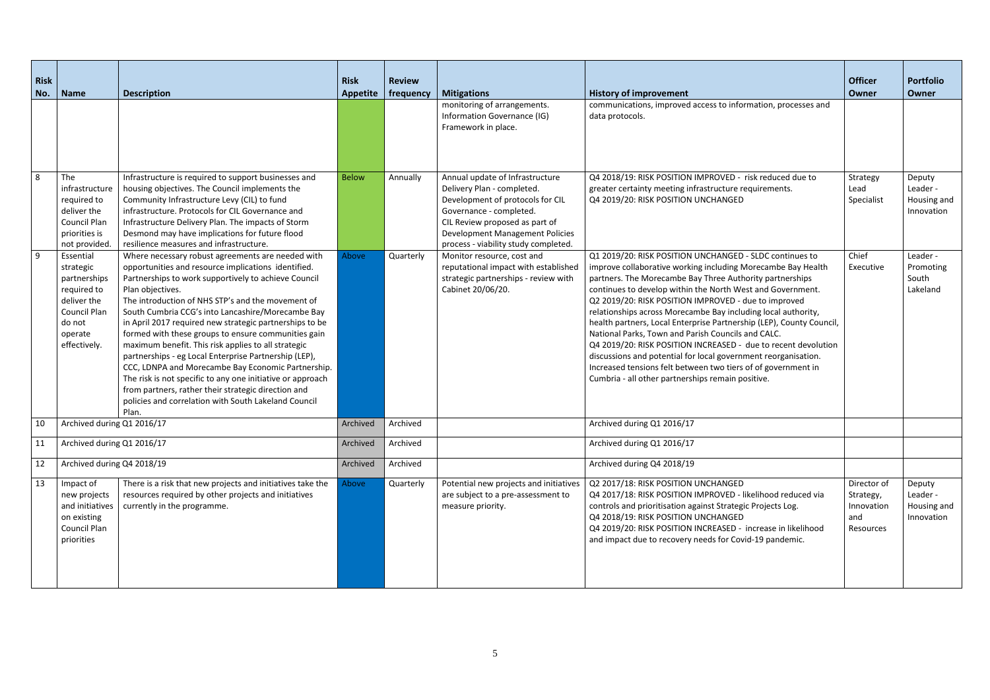| <b>Risk</b>    |                                                                                                                           |                                                                                                                                                                                                                                                                                                                                                                                                                                                                                                                                                                                                                                                                                                                                                                              | <b>Risk</b>     | <b>Review</b> |                                                                                                                                                                                                                                           |                                                                                                                                                                                                                                                                                                                                                                                                                                                                                                                                                                                                                                                                                                                                                                    | <b>Officer</b>                                             | <b>Portfolio</b>                                |
|----------------|---------------------------------------------------------------------------------------------------------------------------|------------------------------------------------------------------------------------------------------------------------------------------------------------------------------------------------------------------------------------------------------------------------------------------------------------------------------------------------------------------------------------------------------------------------------------------------------------------------------------------------------------------------------------------------------------------------------------------------------------------------------------------------------------------------------------------------------------------------------------------------------------------------------|-----------------|---------------|-------------------------------------------------------------------------------------------------------------------------------------------------------------------------------------------------------------------------------------------|--------------------------------------------------------------------------------------------------------------------------------------------------------------------------------------------------------------------------------------------------------------------------------------------------------------------------------------------------------------------------------------------------------------------------------------------------------------------------------------------------------------------------------------------------------------------------------------------------------------------------------------------------------------------------------------------------------------------------------------------------------------------|------------------------------------------------------------|-------------------------------------------------|
| No.            | <b>Name</b>                                                                                                               | <b>Description</b>                                                                                                                                                                                                                                                                                                                                                                                                                                                                                                                                                                                                                                                                                                                                                           | <b>Appetite</b> | frequency     | <b>Mitigations</b>                                                                                                                                                                                                                        | <b>History of improvement</b>                                                                                                                                                                                                                                                                                                                                                                                                                                                                                                                                                                                                                                                                                                                                      | Owner                                                      | <b>Owner</b>                                    |
|                |                                                                                                                           |                                                                                                                                                                                                                                                                                                                                                                                                                                                                                                                                                                                                                                                                                                                                                                              |                 |               | monitoring of arrangements.<br>Information Governance (IG)<br>Framework in place.                                                                                                                                                         | communications, improved access to information, processes and<br>data protocols.                                                                                                                                                                                                                                                                                                                                                                                                                                                                                                                                                                                                                                                                                   |                                                            |                                                 |
| 8              | The<br>infrastructure<br>required to<br>deliver the<br><b>Council Plan</b><br>priorities is<br>not provided.              | Infrastructure is required to support businesses and<br>housing objectives. The Council implements the<br>Community Infrastructure Levy (CIL) to fund<br>infrastructure. Protocols for CIL Governance and<br>Infrastructure Delivery Plan. The impacts of Storm<br>Desmond may have implications for future flood<br>resilience measures and infrastructure.                                                                                                                                                                                                                                                                                                                                                                                                                 | <b>Below</b>    | Annually      | Annual update of Infrastructure<br>Delivery Plan - completed.<br>Development of protocols for CIL<br>Governance - completed.<br>CIL Review proposed as part of<br>Development Management Policies<br>process - viability study completed. | Q4 2018/19: RISK POSITION IMPROVED - risk reduced due to<br>greater certainty meeting infrastructure requirements.<br>Q4 2019/20: RISK POSITION UNCHANGED                                                                                                                                                                                                                                                                                                                                                                                                                                                                                                                                                                                                          | Strategy<br>Lead<br>Specialist                             | Deputy<br>Leader -<br>Housing and<br>Innovation |
| $\overline{9}$ | Essential<br>strategic<br>partnerships<br>required to<br>deliver the<br>Council Plan<br>do not<br>operate<br>effectively. | Where necessary robust agreements are needed with<br>opportunities and resource implications identified.<br>Partnerships to work supportively to achieve Council<br>Plan objectives.<br>The introduction of NHS STP's and the movement of<br>South Cumbria CCG's into Lancashire/Morecambe Bay<br>in April 2017 required new strategic partnerships to be<br>formed with these groups to ensure communities gain<br>maximum benefit. This risk applies to all strategic<br>partnerships - eg Local Enterprise Partnership (LEP),<br>CCC, LDNPA and Morecambe Bay Economic Partnership.<br>The risk is not specific to any one initiative or approach<br>from partners, rather their strategic direction and<br>policies and correlation with South Lakeland Council<br>Plan. | Above           | Quarterly     | Monitor resource, cost and<br>reputational impact with established<br>strategic partnerships - review with<br>Cabinet 20/06/20.                                                                                                           | Q1 2019/20: RISK POSITION UNCHANGED - SLDC continues to<br>improve collaborative working including Morecambe Bay Health<br>partners. The Morecambe Bay Three Authority partnerships<br>continues to develop within the North West and Government.<br>Q2 2019/20: RISK POSITION IMPROVED - due to improved<br>relationships across Morecambe Bay including local authority,<br>health partners, Local Enterprise Partnership (LEP), County Council,<br>National Parks, Town and Parish Councils and CALC.<br>Q4 2019/20: RISK POSITION INCREASED - due to recent devolution<br>discussions and potential for local government reorganisation.<br>Increased tensions felt between two tiers of of government in<br>Cumbria - all other partnerships remain positive. | Chief<br>Executive                                         | Leader -<br>Promoting<br>South<br>Lakeland      |
| 10             | Archived during Q1 2016/17                                                                                                |                                                                                                                                                                                                                                                                                                                                                                                                                                                                                                                                                                                                                                                                                                                                                                              | Archived        | Archived      |                                                                                                                                                                                                                                           | Archived during Q1 2016/17                                                                                                                                                                                                                                                                                                                                                                                                                                                                                                                                                                                                                                                                                                                                         |                                                            |                                                 |
| 11             | Archived during Q1 2016/17                                                                                                |                                                                                                                                                                                                                                                                                                                                                                                                                                                                                                                                                                                                                                                                                                                                                                              | Archived        | Archived      |                                                                                                                                                                                                                                           | Archived during Q1 2016/17                                                                                                                                                                                                                                                                                                                                                                                                                                                                                                                                                                                                                                                                                                                                         |                                                            |                                                 |
| 12             | Archived during Q4 2018/19                                                                                                |                                                                                                                                                                                                                                                                                                                                                                                                                                                                                                                                                                                                                                                                                                                                                                              | Archived        | Archived      |                                                                                                                                                                                                                                           | Archived during Q4 2018/19                                                                                                                                                                                                                                                                                                                                                                                                                                                                                                                                                                                                                                                                                                                                         |                                                            |                                                 |
| 13             | Impact of<br>new projects<br>and initiatives<br>on existing<br>Council Plan<br>priorities                                 | There is a risk that new projects and initiatives take the<br>resources required by other projects and initiatives<br>currently in the programme.                                                                                                                                                                                                                                                                                                                                                                                                                                                                                                                                                                                                                            | <b>Above</b>    | Quarterly     | Potential new projects and initiatives<br>are subject to a pre-assessment to<br>measure priority.                                                                                                                                         | Q2 2017/18: RISK POSITION UNCHANGED<br>Q4 2017/18: RISK POSITION IMPROVED - likelihood reduced via<br>controls and prioritisation against Strategic Projects Log.<br>Q4 2018/19: RISK POSITION UNCHANGED<br>Q4 2019/20: RISK POSITION INCREASED - increase in likelihood<br>and impact due to recovery needs for Covid-19 pandemic.                                                                                                                                                                                                                                                                                                                                                                                                                                | Director of<br>Strategy,<br>Innovation<br>and<br>Resources | Deputy<br>Leader -<br>Housing and<br>Innovation |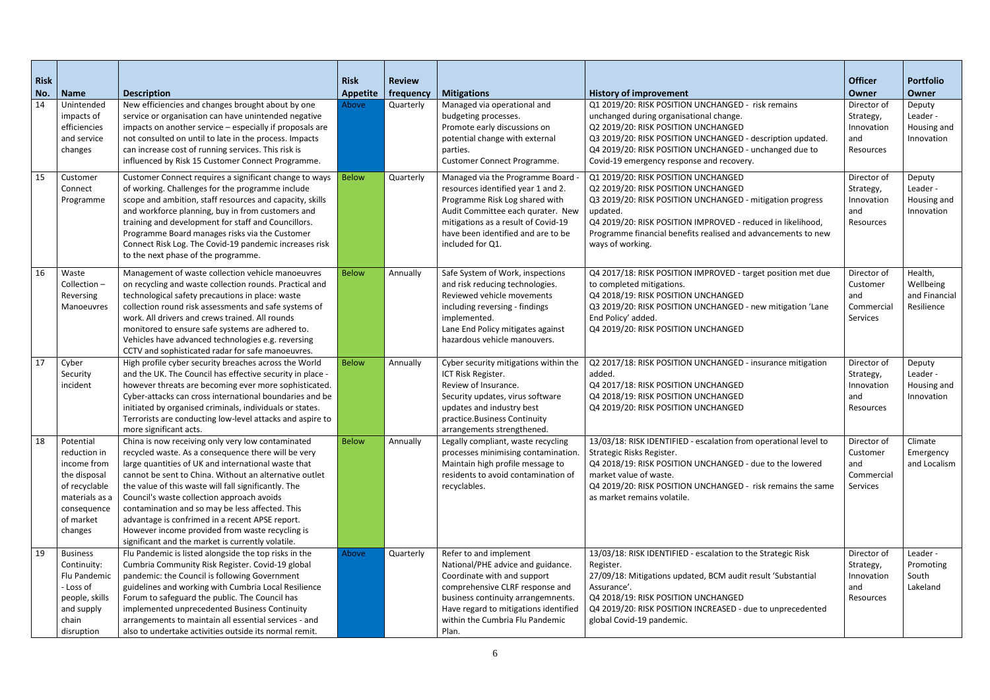| <b>Risk</b> |                               |                                                                                                               | <b>Risk</b>     | <b>Review</b> |                                                                          |                                                                                         | <b>Officer</b>         | <b>Portfolio</b> |
|-------------|-------------------------------|---------------------------------------------------------------------------------------------------------------|-----------------|---------------|--------------------------------------------------------------------------|-----------------------------------------------------------------------------------------|------------------------|------------------|
| No.         | <b>Name</b>                   | <b>Description</b>                                                                                            | <b>Appetite</b> | frequency     | <b>Mitigations</b>                                                       | <b>History of improvement</b>                                                           | <b>Owner</b>           | <b>Owner</b>     |
| 14          | Unintended                    | New efficiencies and changes brought about by one                                                             | Above           | Quarterly     | Managed via operational and                                              | Q1 2019/20: RISK POSITION UNCHANGED - risk remains                                      | Director of            | Deputy           |
|             | impacts of                    | service or organisation can have unintended negative                                                          |                 |               | budgeting processes.                                                     | unchanged during organisational change.                                                 | Strategy,              | Leader -         |
|             | efficiencies                  | impacts on another service - especially if proposals are                                                      |                 |               | Promote early discussions on                                             | Q2 2019/20: RISK POSITION UNCHANGED                                                     | Innovation             | Housing and      |
|             | and service                   | not consulted on until to late in the process. Impacts                                                        |                 |               | potential change with external                                           | Q3 2019/20: RISK POSITION UNCHANGED - description updated.                              | and                    | Innovation       |
|             | changes                       | can increase cost of running services. This risk is                                                           |                 |               | parties.                                                                 | Q4 2019/20: RISK POSITION UNCHANGED - unchanged due to                                  | Resources              |                  |
|             |                               | influenced by Risk 15 Customer Connect Programme.                                                             |                 |               | Customer Connect Programme.                                              | Covid-19 emergency response and recovery.                                               |                        |                  |
| 15          | Customer                      | Customer Connect requires a significant change to ways                                                        | <b>Below</b>    | Quarterly     | Managed via the Programme Board .                                        | Q1 2019/20: RISK POSITION UNCHANGED                                                     | Director of            | Deputy           |
|             | Connect                       | of working. Challenges for the programme include                                                              |                 |               | resources identified year 1 and 2.                                       | Q2 2019/20: RISK POSITION UNCHANGED                                                     | Strategy,              | Leader -         |
|             | Programme                     | scope and ambition, staff resources and capacity, skills                                                      |                 |               | Programme Risk Log shared with                                           | Q3 2019/20: RISK POSITION UNCHANGED - mitigation progress                               | Innovation             | Housing and      |
|             |                               | and workforce planning, buy in from customers and                                                             |                 |               | Audit Committee each qurater. New                                        | updated.                                                                                | and                    | Innovation       |
|             |                               | training and development for staff and Councillors.                                                           |                 |               | mitigations as a result of Covid-19                                      | Q4 2019/20: RISK POSITION IMPROVED - reduced in likelihood,                             | Resources              |                  |
|             |                               | Programme Board manages risks via the Customer                                                                |                 |               | have been identified and are to be                                       | Programme financial benefits realised and advancements to new                           |                        |                  |
|             |                               | Connect Risk Log. The Covid-19 pandemic increases risk                                                        |                 |               | included for Q1.                                                         | ways of working.                                                                        |                        |                  |
|             |                               | to the next phase of the programme.                                                                           |                 |               |                                                                          |                                                                                         |                        |                  |
| 16          | Waste                         | Management of waste collection vehicle manoeuvres                                                             | <b>Below</b>    | Annually      | Safe System of Work, inspections                                         | Q4 2017/18: RISK POSITION IMPROVED - target position met due                            | Director of            | Health,          |
|             | Collection-                   | on recycling and waste collection rounds. Practical and                                                       |                 |               | and risk reducing technologies.                                          | to completed mitigations.                                                               | Customer               | Wellbeing        |
|             | Reversing                     | technological safety precautions in place: waste                                                              |                 |               | Reviewed vehicle movements                                               | Q4 2018/19: RISK POSITION UNCHANGED                                                     | and                    | and Financial    |
|             | Manoeuvres                    | collection round risk assessments and safe systems of                                                         |                 |               | including reversing - findings                                           | Q3 2019/20: RISK POSITION UNCHANGED - new mitigation 'Lane                              | Commercial             | Resilience       |
|             |                               | work. All drivers and crews trained. All rounds                                                               |                 |               | implemented.                                                             | End Policy' added.                                                                      | Services               |                  |
|             |                               | monitored to ensure safe systems are adhered to.                                                              |                 |               | Lane End Policy mitigates against                                        | Q4 2019/20: RISK POSITION UNCHANGED                                                     |                        |                  |
|             |                               | Vehicles have advanced technologies e.g. reversing<br>CCTV and sophisticated radar for safe manoeuvres.       |                 |               | hazardous vehicle manouvers.                                             |                                                                                         |                        |                  |
| 17          | Cyber                         | High profile cyber security breaches across the World                                                         | <b>Below</b>    | Annually      | Cyber security mitigations within the                                    | Q2 2017/18: RISK POSITION UNCHANGED - insurance mitigation                              | Director of            | Deputy           |
|             | Security                      | and the UK. The Council has effective security in place -                                                     |                 |               | ICT Risk Register.                                                       | added.                                                                                  | Strategy,              | Leader -         |
|             | incident                      | however threats are becoming ever more sophisticated.                                                         |                 |               | Review of Insurance.                                                     | Q4 2017/18: RISK POSITION UNCHANGED                                                     | Innovation             | Housing and      |
|             |                               | Cyber-attacks can cross international boundaries and be                                                       |                 |               | Security updates, virus software                                         | Q4 2018/19: RISK POSITION UNCHANGED                                                     | and                    | Innovation       |
|             |                               | initiated by organised criminals, individuals or states.                                                      |                 |               | updates and industry best                                                | Q4 2019/20: RISK POSITION UNCHANGED                                                     | Resources              |                  |
|             |                               | Terrorists are conducting low-level attacks and aspire to                                                     |                 |               | practice.Business Continuity                                             |                                                                                         |                        |                  |
|             |                               | more significant acts.                                                                                        |                 |               | arrangements strengthened.                                               |                                                                                         |                        |                  |
| 18          | Potential                     | China is now receiving only very low contaminated                                                             | <b>Below</b>    | Annually      | Legally compliant, waste recycling                                       | 13/03/18: RISK IDENTIFIED - escalation from operational level to                        | Director of            | Climate          |
|             | reduction in                  | recycled waste. As a consequence there will be very                                                           |                 |               | processes minimising contamination.                                      | Strategic Risks Register.                                                               | Customer               | Emergency        |
|             | income from                   | large quantities of UK and international waste that<br>cannot be sent to China. Without an alternative outlet |                 |               | Maintain high profile message to                                         | Q4 2018/19: RISK POSITION UNCHANGED - due to the lowered                                | and                    | and Localism     |
|             | the disposal<br>of recyclable | the value of this waste will fall significantly. The                                                          |                 |               | residents to avoid contamination of<br>recyclables.                      | market value of waste.<br>Q4 2019/20: RISK POSITION UNCHANGED - risk remains the same   | Commercial<br>Services |                  |
|             | materials as a                | Council's waste collection approach avoids                                                                    |                 |               |                                                                          | as market remains volatile.                                                             |                        |                  |
|             | consequence                   | contamination and so may be less affected. This                                                               |                 |               |                                                                          |                                                                                         |                        |                  |
|             | of market                     | advantage is confrimed in a recent APSE report.                                                               |                 |               |                                                                          |                                                                                         |                        |                  |
|             | changes                       | However income provided from waste recycling is                                                               |                 |               |                                                                          |                                                                                         |                        |                  |
|             |                               | significant and the market is currently volatile.                                                             |                 |               |                                                                          |                                                                                         |                        |                  |
| 19          | <b>Business</b>               | Flu Pandemic is listed alongside the top risks in the                                                         | Above           | Quarterly     | Refer to and implement                                                   | 13/03/18: RISK IDENTIFIED - escalation to the Strategic Risk                            | Director of            | Leader -         |
|             | Continuity:                   | Cumbria Community Risk Register. Covid-19 global                                                              |                 |               | National/PHE advice and guidance.                                        | Register.                                                                               | Strategy,              | Promoting        |
|             | Flu Pandemic                  | pandemic: the Council is following Government                                                                 |                 |               | Coordinate with and support                                              | 27/09/18: Mitigations updated, BCM audit result 'Substantial                            | Innovation             | South            |
|             | - Loss of                     | guidelines and working with Cumbria Local Resilience                                                          |                 |               | comprehensive CLRF response and                                          | Assurance'.                                                                             | and                    | Lakeland         |
|             | people, skills                | Forum to safeguard the public. The Council has                                                                |                 |               | business continuity arrangemnents.                                       | Q4 2018/19: RISK POSITION UNCHANGED                                                     | Resources              |                  |
|             | and supply<br>chain           | implemented unprecedented Business Continuity<br>arrangements to maintain all essential services - and        |                 |               | Have regard to mitigations identified<br>within the Cumbria Flu Pandemic | Q4 2019/20: RISK POSITION INCREASED - due to unprecedented<br>global Covid-19 pandemic. |                        |                  |
|             | disruption                    | also to undertake activities outside its normal remit.                                                        |                 |               | Plan.                                                                    |                                                                                         |                        |                  |
|             |                               |                                                                                                               |                 |               |                                                                          |                                                                                         |                        |                  |